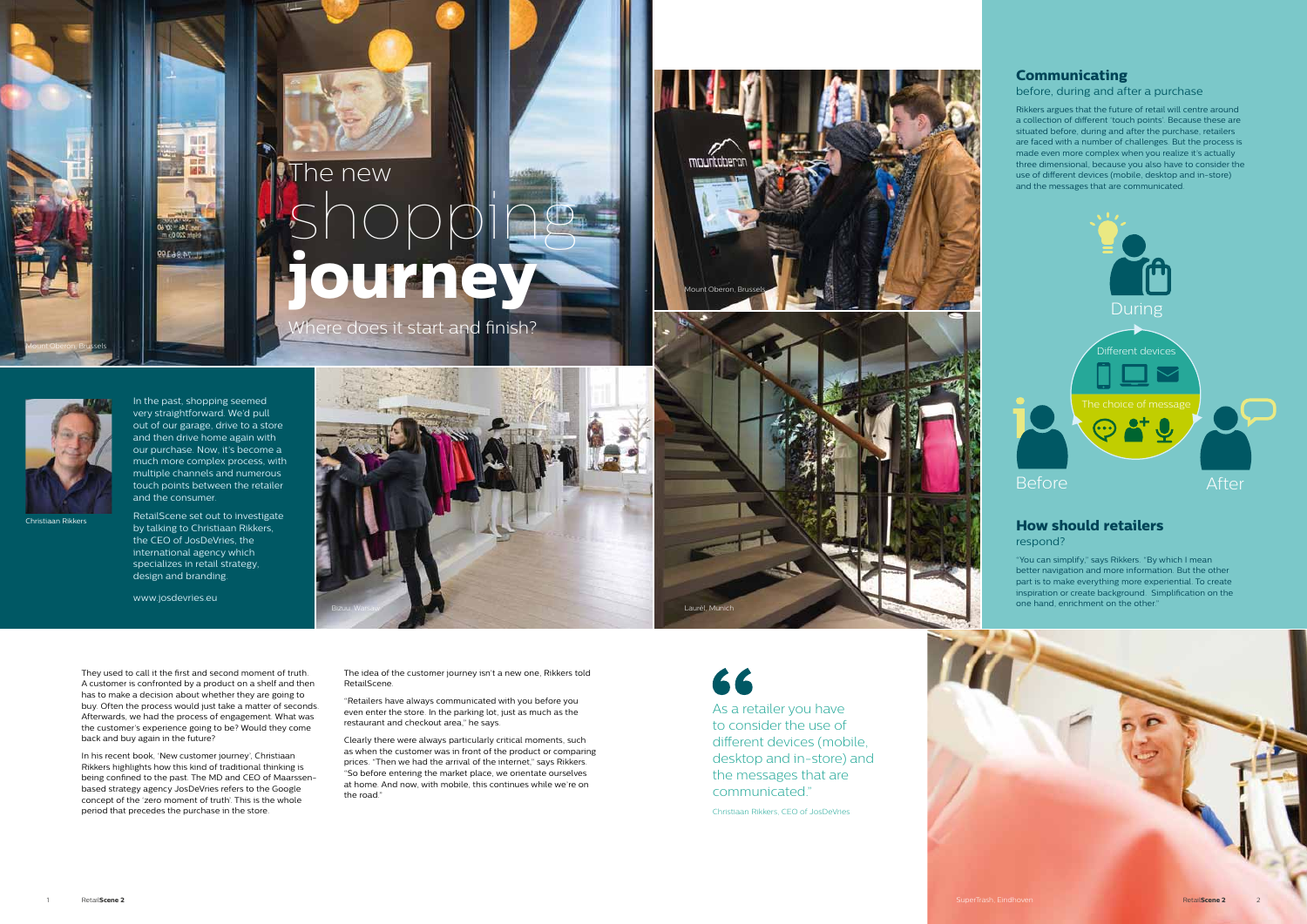Christiaan Rikkers

As a retailer you have to consider the use of different devices (mobile, desktop and in-store) and the messages that are communicated."

Christiaan Rikkers, CEO of JosDeVries

In the past, shopping seemed very straightforward. We'd pull out of our garage, drive to a store and then drive home again with our purchase. Now, it's become a much more complex process, with multiple channels and numerous touch points between the retailer and the consumer.

而且

回復

T\_74,86,199

RetailScene set out to investigate by talking to Christiaan Rikkers, the CEO of JosDeVries, the international agency which specializes in retail strategy, design and branding.

# The new shopping **journey**

They used to call it the first and second moment of truth. A customer is confronted by a product on a shelf and then has to make a decision about whether they are going to buy. Often the process would just take a matter of seconds. Afterwards, we had the process of engagement. What was the customer's experience going to be? Would they come back and buy again in the future?

In his recent book, 'New customer journey', Christiaan Rikkers highlights how this kind of traditional thinking is being confined to the past. The MD and CEO of Maarssenbased strategy agency JosDeVries refers to the Google concept of the 'zero moment of truth'. This is the whole period that precedes the purchase in the store.





The idea of the customer journey isn't a new one, Rikkers told RetailScene.

"Retailers have always communicated with you before you even enter the store. In the parking lot, just as much as the restaurant and checkout area," he says.

Clearly there were always particularly critical moments, such as when the customer was in front of the product or comparing prices. "Then we had the arrival of the internet," says Rikkers. "So before entering the market place, we orientate ourselves at home. And now, with mobile, this continues while we're on the road."

66

Laurèl, Mu

### **How should retailers**

respond?

"You can simplify," says Rikkers. "By which I mean better navigation and more information. But the other part is to make everything more experiential. To create inspiration or create background. Simplification on the one hand, enrichment on the other."

## **Communicating**

before, during and after a purchase

Rikkers argues that the future of retail will centre around a collection of different 'touch points'. Because these are situated before, during and after the purchase, retailers are faced with a number of challenges. But the process is made even more complex when you realize it's actually three dimensional, because you also have to consider the use of different devices (mobile, desktop and in-store) and the messages that are communicated.

Mount Oberon, Brussels

Mount Oberon, Brussels





www.josdevries.eu